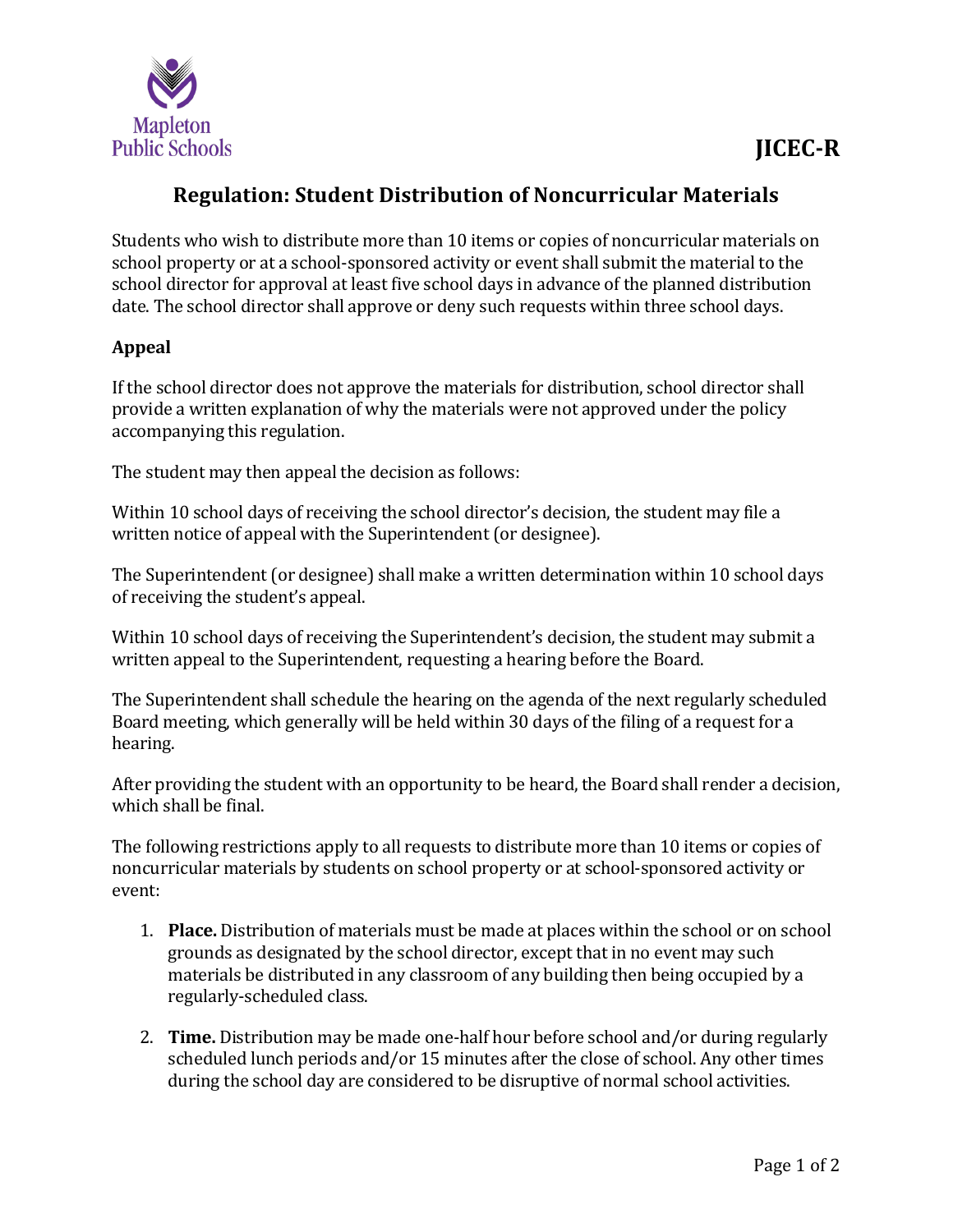

## **Regulation: Student Distribution of Noncurricular Materials**

Students who wish to distribute more than 10 items or copies of noncurricular materials on school property or at a school-sponsored activity or event shall submit the material to the school director for approval at least five school days in advance of the planned distribution date. The school director shall approve or deny such requests within three school days.

## **Appeal**

If the school director does not approve the materials for distribution, school director shall provide a written explanation of why the materials were not approved under the policy accompanying this regulation.

The student may then appeal the decision as follows:

Within 10 school days of receiving the school director's decision, the student may file a written notice of appeal with the Superintendent (or designee).

The Superintendent (or designee) shall make a written determination within 10 school days of receiving the student's appeal.

Within 10 school days of receiving the Superintendent's decision, the student may submit a written appeal to the Superintendent, requesting a hearing before the Board.

The Superintendent shall schedule the hearing on the agenda of the next regularly scheduled Board meeting, which generally will be held within 30 days of the filing of a request for a hearing.

After providing the student with an opportunity to be heard, the Board shall render a decision, which shall be final.

The following restrictions apply to all requests to distribute more than 10 items or copies of noncurricular materials by students on school property or at school-sponsored activity or event:

- 1. **Place.** Distribution of materials must be made at places within the school or on school grounds as designated by the school director, except that in no event may such materials be distributed in any classroom of any building then being occupied by a regularly-scheduled class.
- 2. **Time.** Distribution may be made one-half hour before school and/or during regularly scheduled lunch periods and/or 15 minutes after the close of school. Any other times during the school day are considered to be disruptive of normal school activities.